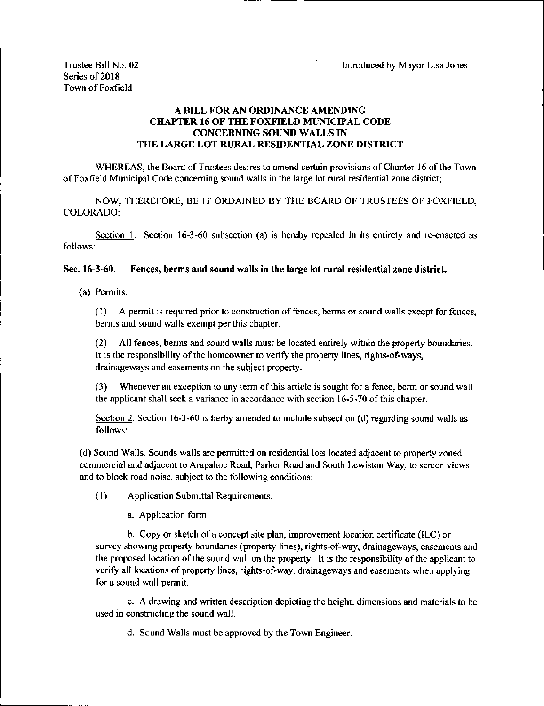## A BILL FOR AN ORDINANCE AMENDING CHAPTER 16 OF THE FOXFIELD MUNICIPAL CODE CONCERNING SOUND WALLS IN THE LARGE LOT RURAL RESIDENTIAL ZONE DISTRICT

WHEREAS, the Board of Trustees desires to amend certain provisions of Chapter <sup>16</sup> of the Town of Foxfield Municipal Code concerning sound walls in the large lot rural residential zone district;

NOW, THEREFORE, BE IT ORDAINED BY THE BOARD OF TRUSTEES OF FOXFIELD, COLORADO:

Section 1. Section 16-3-60 subsection (a) is hereby repealed in its entirety and re-enacted as follows:

## Sec. 16-3-60. Fences, berms and sound walls in the large lot rural residential zone district.

a) Permits.

1) A permit is required prior to construction of fences, berms or sound walls except for fences, berms and sound walls exempt per this chapter.

2) All fences, berms and sound walls must be located entirely within the property boundaries. It is the responsibility of the homeowner to verify the property lines, rights-of-ways, drainageways and easements on the subject property.

3) Whenever an exception to any term of this article is sought for <sup>a</sup> fence, berm or sound wall the applicant shall seek a variance in accordance with section 16-5-70 of this chapter.

Section 2. Section 16-3-60 is herby amended to include subsection (d) regarding sound walls as follows:

d) Sound Walls. Sounds walls are permitted on residential lots located adjacent to property zoned commercial and adjacent to Arapahoe Road, Parker Road and South Lewiston Way, to screen views and to block road noise, subject to the following conditions:

1) Application Submittal Requirements.

a. Application form

b. Copy or sketch of <sup>a</sup> concept site plan, improvement location certificate( ILC) or survey showing property boundaries (property lines), rights-of-way, drainageways, easements and the proposed location of the sound wall on the property. It is the responsibility of the applicant to verify all locations of property lines, rights-of-way, drainageways and easements when applying for a sound wall permit.

c. A drawing and written description depicting the height, dimensions and materials to be used in constructing the sound wall.

d. Sound Walls must be approved by the Town Engineer.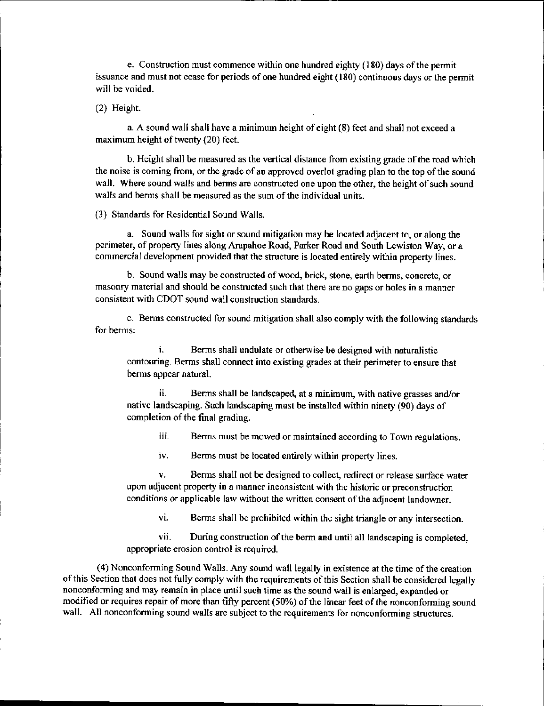e. Construction must commence within one hundred eighty ( 180) days ofthe permit issuance and must not cease for periods of one hundred eight (180) continuous days or the permit will be voided.

2) Height.

a. A sound wall shall have <sup>a</sup> minimum height of eight( 8) feet and shall not exceed <sup>a</sup> maximum height of twenty (20) feet.

b. Height shall be measured as the vertical distance from existing grade ofthe road which the noise is coming from, or the grade of an approved overlot grading plan to the top of the sound wall. Where sound walls and berms are constructed one upon the other, the height of such sound walls and berms shall be measured as the sum of the individual units.

3) Standards for Residential Sound Walls.

a. Sound walls for sight or sound mitigation maybe located adjacent to, or along the perimeter, of property lines along Arapahoe Road, Parker Road and South Lewiston Way, or a commercial development provided that the structure is located entirely within property lines.

b. Sound walls may be constructed of wood, brick, stone, earth berms, concrete, or masonry material and should be constructed such that there are no gaps or holes in a manner consistent with CDOT sound wall construction standards.

c. Berms constructed for sound mitigation shall also comply with the following standards for berms:

i. Berms shall undulate or otherwise be designed with naturalistic contouring. Berms shall connect into existing grades at their perimeter to ensure that berms appear natural.

ii. Berms shall be landscaped, at a minimum, with native grasses and/or native landscaping. Such landscaping must be installed within ninety( 90) days of completion of the final grading.

iii. Berms must be mowed or maintained according to Town regulations.

iv. Berms must be located entirely within property lines.

V. Berms shall not be designed to collect, redirect or release surface water upon adjacent property in a manner inconsistent with the historic or preconstruction conditions or applicable law without the written consent of the adjacent landowner.

vi. Berms shall he prohibited within the sight triangle or any intersection.

vii. During construction of the berm and until all landscaping is completed, appropriate erosion control is required.

4) Nonconforming Sound Walls. Any sound wall legally in existence at the time of the creation of this Section that does not fully comply with the requirements of this Section shall be considered legally nonconforming and may remain in place until such time as the sound wall is enlarged, expanded or modified or requires repair of more than fifty percent (50%) of the linear feet of the nonconforming sound wall. All nonconforming sound walls are subject to the requirements for nonconforming structures.